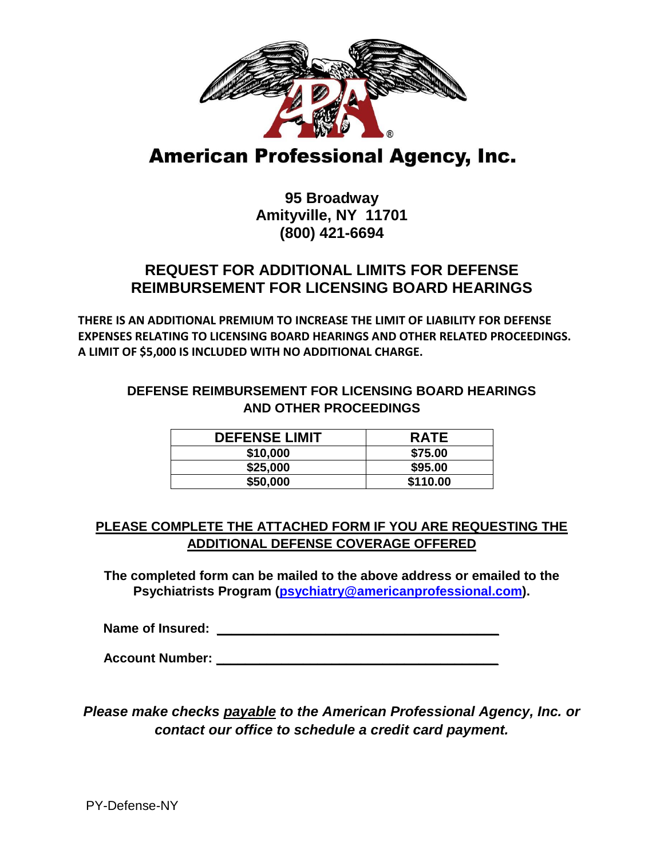

# **American Professional Agency, Inc.**

## **95 Broadway Amityville, NY 11701 (800) 421-6694**

## **REQUEST FOR ADDITIONAL LIMITS FOR DEFENSE REIMBURSEMENT FOR LICENSING BOARD HEARINGS**

**THERE IS AN ADDITIONAL PREMIUM TO INCREASE THE LIMIT OF LIABILITY FOR DEFENSE EXPENSES RELATING TO LICENSING BOARD HEARINGS AND OTHER RELATED PROCEEDINGS. A LIMIT OF \$5,000 IS INCLUDED WITH NO ADDITIONAL CHARGE.**

#### **DEFENSE REIMBURSEMENT FOR LICENSING BOARD HEARINGS AND OTHER PROCEEDINGS**

| <b>DEFENSE LIMIT</b> | <b>RATE</b> |
|----------------------|-------------|
| \$10,000             | \$75.00     |
| \$25,000             | \$95.00     |
| \$50,000             | \$110.00    |

### **PLEASE COMPLETE THE ATTACHED FORM IF YOU ARE REQUESTING THE ADDITIONAL DEFENSE COVERAGE OFFERED**

**The completed form can be mailed to the above address or emailed to the Psychiatrists Program (psychiatry@americanprofessional.com).** 

**Name of Insured:**  $\blacksquare$ 

 **Account Number: \_\_\_\_\_\_\_\_\_\_\_\_\_\_\_\_\_\_\_\_\_\_\_\_\_\_\_\_\_\_\_\_\_\_\_\_\_\_\_**

*Please make checks payable to the American Professional Agency, Inc. or contact our office to schedule a credit card payment.*